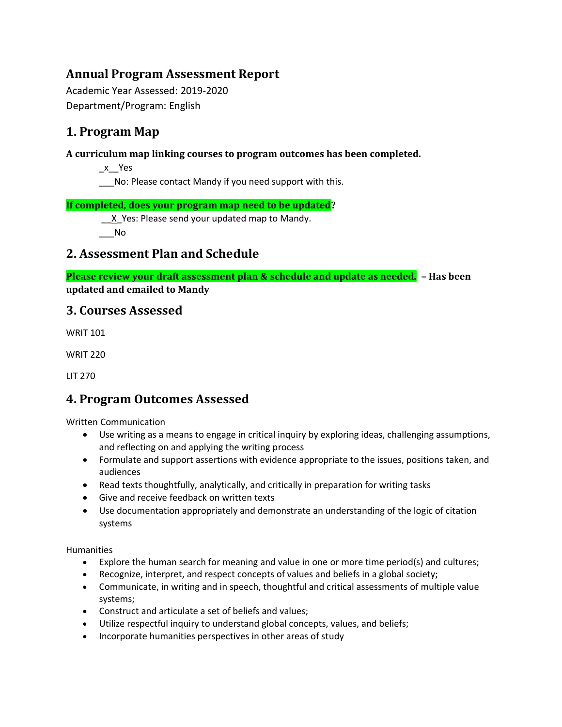# **Annual Program Assessment Report**

Academic Year Assessed: 2019-2020 Department/Program: English

# **1. Program Map**

### **A curriculum map linking courses to program outcomes has been completed.**

\_x\_\_Yes

\_\_\_No: Please contact Mandy if you need support with this.

#### **If completed, does your program map need to be updated?**

X Yes: Please send your updated map to Mandy.

 $\overline{\phantom{0}}$ No

# **2. Assessment Plan and Schedule**

**Please review your draft assessment plan & schedule and update as needed. – Has been updated and emailed to Mandy**

# **3. Courses Assessed**

WRIT 101

WRIT 220

LIT 270

# **4. Program Outcomes Assessed**

Written Communication

- Use writing as a means to engage in critical inquiry by exploring ideas, challenging assumptions, and reflecting on and applying the writing process
- Formulate and support assertions with evidence appropriate to the issues, positions taken, and audiences
- Read texts thoughtfully, analytically, and critically in preparation for writing tasks
- Give and receive feedback on written texts
- Use documentation appropriately and demonstrate an understanding of the logic of citation systems

Humanities

- Explore the human search for meaning and value in one or more time period(s) and cultures;
- Recognize, interpret, and respect concepts of values and beliefs in a global society;
- Communicate, in writing and in speech, thoughtful and critical assessments of multiple value systems;
- Construct and articulate a set of beliefs and values;
- Utilize respectful inquiry to understand global concepts, values, and beliefs;
- Incorporate humanities perspectives in other areas of study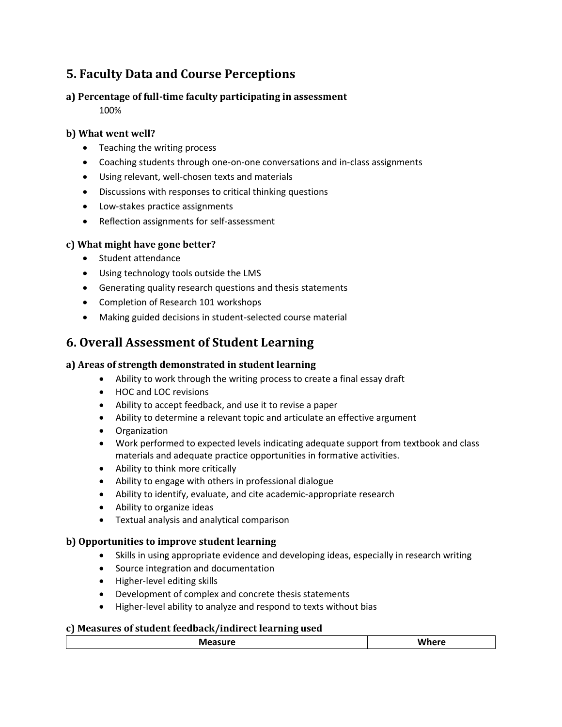# **5. Faculty Data and Course Perceptions**

## **a) Percentage of full-time faculty participating in assessment**

100%

## **b) What went well?**

- Teaching the writing process
- Coaching students through one-on-one conversations and in-class assignments
- Using relevant, well-chosen texts and materials
- Discussions with responses to critical thinking questions
- Low-stakes practice assignments
- Reflection assignments for self-assessment

## **c) What might have gone better?**

- Student attendance
- Using technology tools outside the LMS
- Generating quality research questions and thesis statements
- Completion of Research 101 workshops
- Making guided decisions in student-selected course material

# **6. Overall Assessment of Student Learning**

# **a) Areas of strength demonstrated in student learning**

- Ability to work through the writing process to create a final essay draft
- HOC and LOC revisions
- Ability to accept feedback, and use it to revise a paper
- Ability to determine a relevant topic and articulate an effective argument
- Organization
- Work performed to expected levels indicating adequate support from textbook and class materials and adequate practice opportunities in formative activities.
- Ability to think more critically
- Ability to engage with others in professional dialogue
- Ability to identify, evaluate, and cite academic-appropriate research
- Ability to organize ideas
- Textual analysis and analytical comparison

## **b) Opportunities to improve student learning**

- Skills in using appropriate evidence and developing ideas, especially in research writing
- Source integration and documentation
- Higher-level editing skills
- Development of complex and concrete thesis statements
- Higher-level ability to analyze and respond to texts without bias

## **c) Measures of student feedback/indirect learning used**

| -- |       |
|----|-------|
| .  | _____ |
|    |       |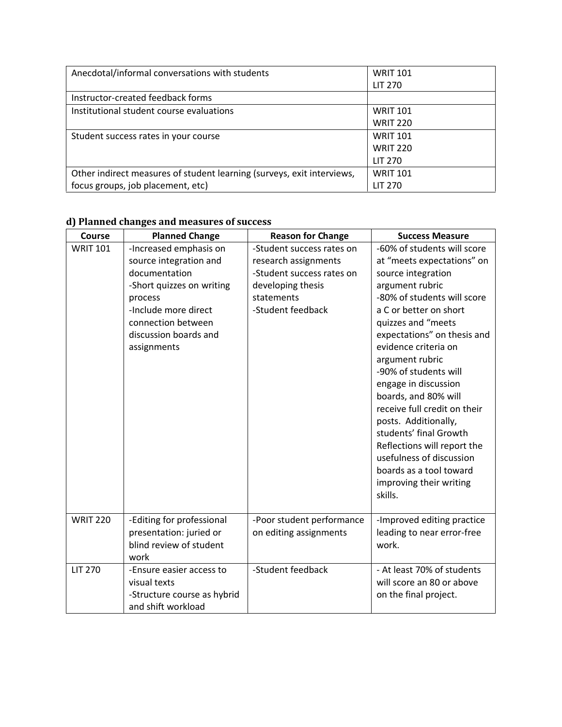| Anecdotal/informal conversations with students                         | <b>WRIT 101</b> |
|------------------------------------------------------------------------|-----------------|
|                                                                        | <b>LIT 270</b>  |
| Instructor-created feedback forms                                      |                 |
| Institutional student course evaluations                               | <b>WRIT 101</b> |
|                                                                        | <b>WRIT 220</b> |
| Student success rates in your course                                   | <b>WRIT 101</b> |
|                                                                        | <b>WRIT 220</b> |
|                                                                        | <b>LIT 270</b>  |
| Other indirect measures of student learning (surveys, exit interviews, | <b>WRIT 101</b> |
| focus groups, job placement, etc)                                      | LIT 270         |

#### **d) Planned changes and measures of success**

| <b>Course</b>   | <b>Planned Change</b>       | <b>Reason for Change</b>  | <b>Success Measure</b>       |
|-----------------|-----------------------------|---------------------------|------------------------------|
|                 |                             |                           |                              |
| <b>WRIT 101</b> | -Increased emphasis on      | -Student success rates on | -60% of students will score  |
|                 | source integration and      | research assignments      | at "meets expectations" on   |
|                 | documentation               | -Student success rates on | source integration           |
|                 | -Short quizzes on writing   | developing thesis         | argument rubric              |
|                 | process                     | statements                | -80% of students will score  |
|                 | -Include more direct        | -Student feedback         | a C or better on short       |
|                 | connection between          |                           | quizzes and "meets           |
|                 | discussion boards and       |                           | expectations" on thesis and  |
|                 | assignments                 |                           | evidence criteria on         |
|                 |                             |                           | argument rubric              |
|                 |                             |                           | -90% of students will        |
|                 |                             |                           | engage in discussion         |
|                 |                             |                           | boards, and 80% will         |
|                 |                             |                           | receive full credit on their |
|                 |                             |                           | posts. Additionally,         |
|                 |                             |                           | students' final Growth       |
|                 |                             |                           | Reflections will report the  |
|                 |                             |                           | usefulness of discussion     |
|                 |                             |                           | boards as a tool toward      |
|                 |                             |                           | improving their writing      |
|                 |                             |                           | skills.                      |
|                 |                             |                           |                              |
| <b>WRIT 220</b> |                             |                           |                              |
|                 | -Editing for professional   | -Poor student performance | -Improved editing practice   |
|                 | presentation: juried or     | on editing assignments    | leading to near error-free   |
|                 | blind review of student     |                           | work.                        |
|                 | work                        |                           |                              |
| <b>LIT 270</b>  | -Ensure easier access to    | -Student feedback         | - At least 70% of students   |
|                 | visual texts                |                           | will score an 80 or above    |
|                 | -Structure course as hybrid |                           | on the final project.        |
|                 | and shift workload          |                           |                              |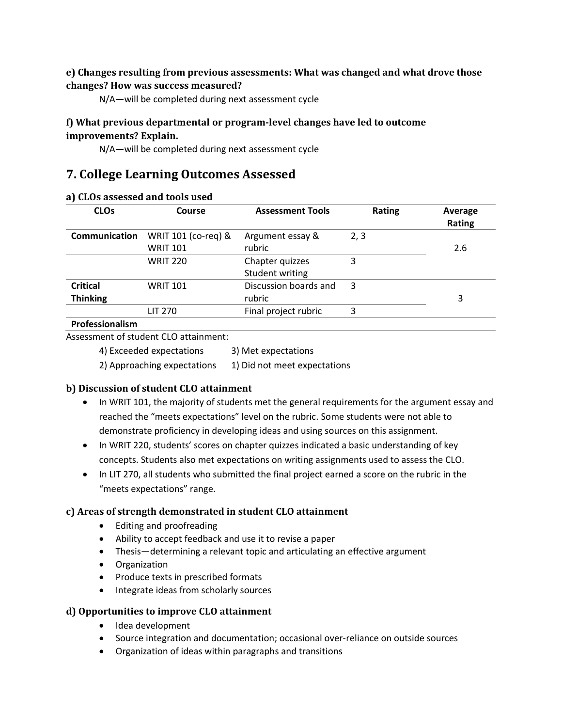#### **e) Changes resulting from previous assessments: What was changed and what drove those changes? How was success measured?**

N/A—will be completed during next assessment cycle

#### **f) What previous departmental or program-level changes have led to outcome improvements? Explain.**

N/A—will be completed during next assessment cycle

# **7. College Learning Outcomes Assessed**

| <b>CLOs</b>                        | Course                                 | <b>Assessment Tools</b>            | <b>Rating</b> | Average<br>Rating |
|------------------------------------|----------------------------------------|------------------------------------|---------------|-------------------|
| Communication                      | WRIT 101 (co-req) &<br><b>WRIT 101</b> | Argument essay &<br>rubric         | 2, 3          | 2.6               |
|                                    | <b>WRIT 220</b>                        | Chapter quizzes<br>Student writing | 3             |                   |
| <b>Critical</b><br><b>Thinking</b> | <b>WRIT 101</b>                        | Discussion boards and<br>rubric    | 3             | 3                 |
| Professionalism                    | LIT 270                                | Final project rubric               | 3             |                   |

#### **a) CLOs assessed and tools used**

### Assessment of student CLO attainment:

| 4) Exceeded expectations    | 3) Met expectations          |
|-----------------------------|------------------------------|
| 2) Approaching expectations | 1) Did not meet expectations |

#### **b) Discussion of student CLO attainment**

- In WRIT 101, the majority of students met the general requirements for the argument essay and reached the "meets expectations" level on the rubric. Some students were not able to demonstrate proficiency in developing ideas and using sources on this assignment.
- In WRIT 220, students' scores on chapter quizzes indicated a basic understanding of key concepts. Students also met expectations on writing assignments used to assess the CLO.
- In LIT 270, all students who submitted the final project earned a score on the rubric in the "meets expectations" range.

#### **c) Areas of strength demonstrated in student CLO attainment**

- Editing and proofreading
- Ability to accept feedback and use it to revise a paper
- Thesis—determining a relevant topic and articulating an effective argument
- Organization
- Produce texts in prescribed formats
- Integrate ideas from scholarly sources

#### **d) Opportunities to improve CLO attainment**

- Idea development
- Source integration and documentation; occasional over-reliance on outside sources
- Organization of ideas within paragraphs and transitions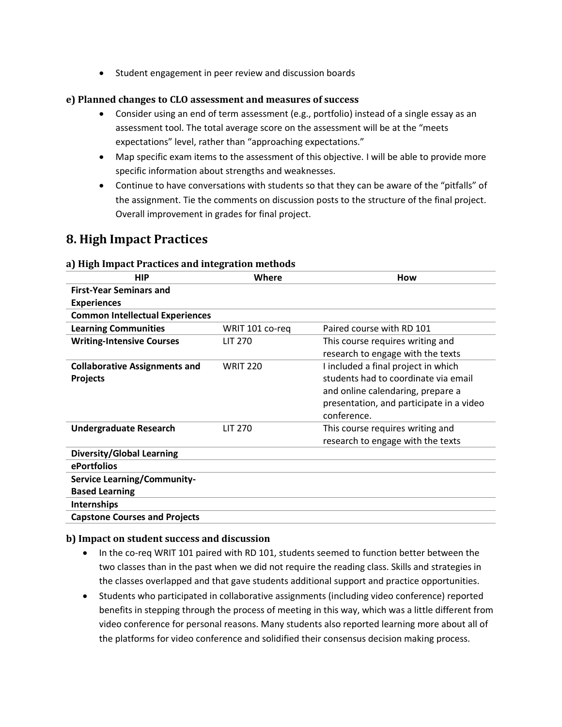• Student engagement in peer review and discussion boards

#### **e) Planned changes to CLO assessment and measures of success**

- Consider using an end of term assessment (e.g., portfolio) instead of a single essay as an assessment tool. The total average score on the assessment will be at the "meets expectations" level, rather than "approaching expectations."
- Map specific exam items to the assessment of this objective. I will be able to provide more specific information about strengths and weaknesses.
- Continue to have conversations with students so that they can be aware of the "pitfalls" of the assignment. Tie the comments on discussion posts to the structure of the final project. Overall improvement in grades for final project.

# **8. High Impact Practices**

| <b>HIP</b>                                              | Where           | How                                                                                                                                                                         |
|---------------------------------------------------------|-----------------|-----------------------------------------------------------------------------------------------------------------------------------------------------------------------------|
| <b>First-Year Seminars and</b>                          |                 |                                                                                                                                                                             |
| <b>Experiences</b>                                      |                 |                                                                                                                                                                             |
| <b>Common Intellectual Experiences</b>                  |                 |                                                                                                                                                                             |
| <b>Learning Communities</b>                             | WRIT 101 co-reg | Paired course with RD 101                                                                                                                                                   |
| <b>Writing-Intensive Courses</b>                        | LIT 270         | This course requires writing and<br>research to engage with the texts                                                                                                       |
| <b>Collaborative Assignments and</b><br><b>Projects</b> | <b>WRIT 220</b> | I included a final project in which<br>students had to coordinate via email<br>and online calendaring, prepare a<br>presentation, and participate in a video<br>conference. |
| <b>Undergraduate Research</b>                           | LIT 270         | This course requires writing and<br>research to engage with the texts                                                                                                       |
| <b>Diversity/Global Learning</b>                        |                 |                                                                                                                                                                             |
| ePortfolios                                             |                 |                                                                                                                                                                             |
| <b>Service Learning/Community-</b>                      |                 |                                                                                                                                                                             |
| <b>Based Learning</b>                                   |                 |                                                                                                                                                                             |
| Internships                                             |                 |                                                                                                                                                                             |
| <b>Capstone Courses and Projects</b>                    |                 |                                                                                                                                                                             |

#### **a) High Impact Practices and integration methods**

#### **b) Impact on student success and discussion**

- In the co-req WRIT 101 paired with RD 101, students seemed to function better between the two classes than in the past when we did not require the reading class. Skills and strategies in the classes overlapped and that gave students additional support and practice opportunities.
- Students who participated in collaborative assignments (including video conference) reported benefits in stepping through the process of meeting in this way, which was a little different from video conference for personal reasons. Many students also reported learning more about all of the platforms for video conference and solidified their consensus decision making process.